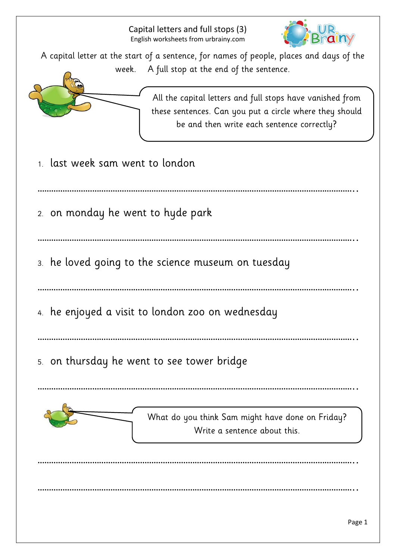

A capital letter at the start of a sentence, for names of people, places and days of the week. A full stop at the end of the sentence.



All the capital letters and full stops have vanished from these sentences. Can you put a circle where they should be and then write each sentence correctly?

- 1. last week sam went to london
- …………………………………………………………………………………………………………………………..
- 2. on monday he went to hyde park
- …………………………………………………………………………………………………………………………..
- 3. he loved going to the science museum on tuesday
- …………………………………………………………………………………………………………………………..
- 4. he enjoyed a visit to london zoo on wednesday
- …………………………………………………………………………………………………………………………..

…………………………………………………………………………………………………………………………..

…………………………………………………………………………………………………………………………..

…………………………………………………………………………………………………………………………..

5. on thursday he went to see tower bridge

What do you think Sam might have done on Friday? Write a sentence about this.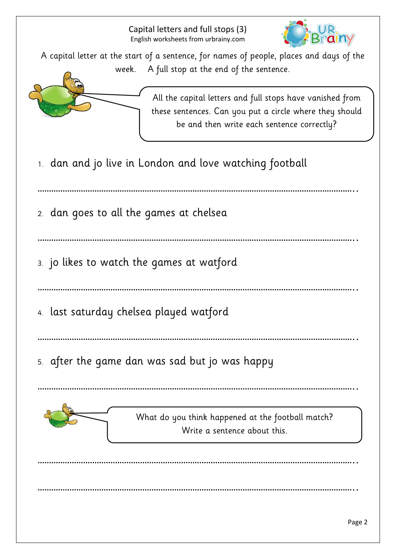

A capital letter at the start of a sentence, for names of people, places and days of the week. A full stop at the end of the sentence.



All the capital letters and full stops have vanished from these sentences. Can you put a circle where they should be and then write each sentence correctly?

1. dan and jo live in London and love watching football

…………………………………………………………………………………………………………………………..

2. dan goes to all the games at chelsea

…………………………………………………………………………………………………………………………..

3. jo likes to watch the games at watford

…………………………………………………………………………………………………………………………..

- 4. last saturday chelsea played watford
- …………………………………………………………………………………………………………………………..

…………………………………………………………………………………………………………………………..

…………………………………………………………………………………………………………………………..

…………………………………………………………………………………………………………………………..

5. after the game dan was sad but jo was happy

What do you think happened at the football match? Write a sentence about this.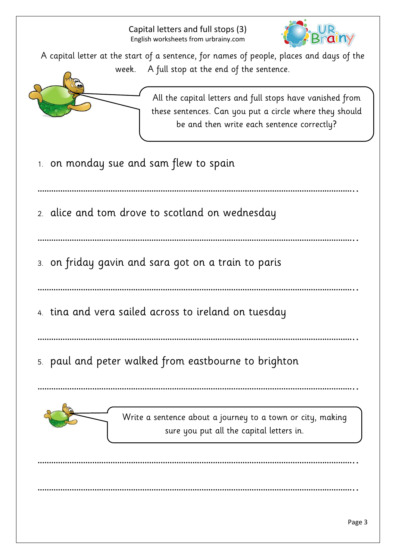

A capital letter at the start of a sentence, for names of people, places and days of the week. A full stop at the end of the sentence.



All the capital letters and full stops have vanished from these sentences. Can you put a circle where they should be and then write each sentence correctly?

1. on monday sue and sam flew to spain

…………………………………………………………………………………………………………………………..

2. alice and tom drove to scotland on wednesday

…………………………………………………………………………………………………………………………..

- 3. on friday gavin and sara got on a train to paris
- …………………………………………………………………………………………………………………………..
- 4. tina and vera sailed across to ireland on tuesday
- …………………………………………………………………………………………………………………………..

…………………………………………………………………………………………………………………………..

…………………………………………………………………………………………………………………………..

…………………………………………………………………………………………………………………………..

5. paul and peter walked from eastbourne to brighton

Write a sentence about a journey to a town or city, making sure you put all the capital letters in.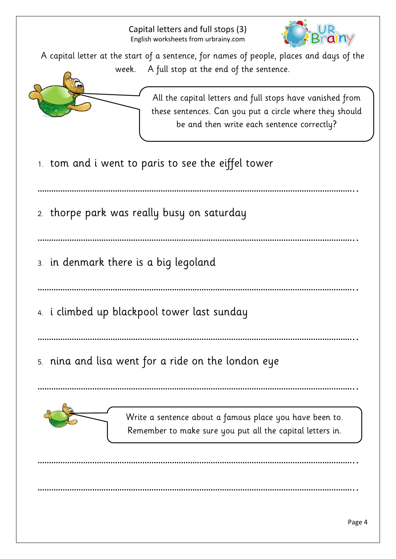

A capital letter at the start of a sentence, for names of people, places and days of the week. A full stop at the end of the sentence.



All the capital letters and full stops have vanished from these sentences. Can you put a circle where they should be and then write each sentence correctly?

1. tom and i went to paris to see the eiffel tower

…………………………………………………………………………………………………………………………..

2. thorpe park was really busy on saturday

…………………………………………………………………………………………………………………………..

- 3. in denmark there is a big legoland
- …………………………………………………………………………………………………………………………..
- 4. i climbed up blackpool tower last sunday
- …………………………………………………………………………………………………………………………..

…………………………………………………………………………………………………………………………..

…………………………………………………………………………………………………………………………..

…………………………………………………………………………………………………………………………..

5. nina and lisa went for a ride on the london eye



Write a sentence about a famous place you have been to. Remember to make sure you put all the capital letters in.